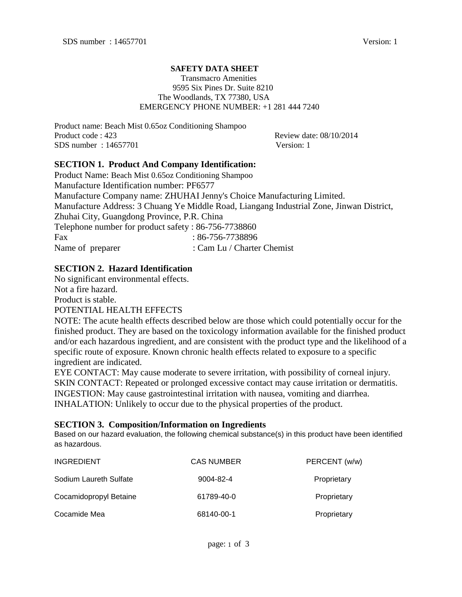### **SAFETY DATA SHEET**

#### Transmacro Amenities 9595 Six Pines Dr. Suite 8210 The Woodlands, TX 77380, USA EMERGENCY PHONE NUMBER: +1 281 444 7240

Product name: Beach Mist 0.65oz Conditioning Shampoo Product code : 423 Review date: 08/10/2014 SDS number : 14657701 Version: 1

# **SECTION 1. Product And Company Identification:**

Product Name: Beach Mist 0.65oz Conditioning Shampoo Manufacture Identification number: PF6577 Manufacture Company name: ZHUHAI Jenny's Choice Manufacturing Limited. Manufacture Address: 3 Chuang Ye Middle Road, Liangang Industrial Zone, Jinwan District, Zhuhai City, Guangdong Province, P.R. China Telephone number for product safety : 86-756-7738860 Fax : 86-756-7738896 Name of preparer : Cam Lu / Charter Chemist

# **SECTION 2. Hazard Identification**

No significant environmental effects. Not a fire hazard.

Product is stable.

#### POTENTIAL HEALTH EFFECTS

NOTE: The acute health effects described below are those which could potentially occur for the finished product. They are based on the toxicology information available for the finished product and/or each hazardous ingredient, and are consistent with the product type and the likelihood of a specific route of exposure. Known chronic health effects related to exposure to a specific ingredient are indicated.

EYE CONTACT: May cause moderate to severe irritation, with possibility of corneal injury. SKIN CONTACT: Repeated or prolonged excessive contact may cause irritation or dermatitis. INGESTION: May cause gastrointestinal irritation with nausea, vomiting and diarrhea. INHALATION: Unlikely to occur due to the physical properties of the product.

#### **SECTION 3. Composition/Information on Ingredients**

Based on our hazard evaluation, the following chemical substance(s) in this product have been identified as hazardous.

| <b>INGREDIENT</b>      | <b>CAS NUMBER</b> | PERCENT (w/w) |
|------------------------|-------------------|---------------|
| Sodium Laureth Sulfate | 9004-82-4         | Proprietary   |
| Cocamidopropyl Betaine | 61789-40-0        | Proprietary   |
| Cocamide Mea           | 68140-00-1        | Proprietary   |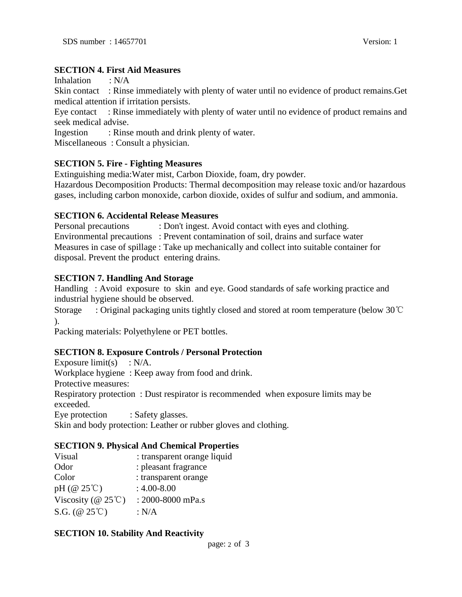### **SECTION 4. First Aid Measures**

Inhalation : N/A

Skin contact : Rinse immediately with plenty of water until no evidence of product remains.Get medical attention if irritation persists.

Eye contact : Rinse immediately with plenty of water until no evidence of product remains and seek medical advise.

Ingestion : Rinse mouth and drink plenty of water.

Miscellaneous : Consult a physician.

### **SECTION 5. Fire - Fighting Measures**

Extinguishing media:Water mist, Carbon Dioxide, foam, dry powder.

Hazardous Decomposition Products: Thermal decomposition may release toxic and/or hazardous gases, including carbon monoxide, carbon dioxide, oxides of sulfur and sodium, and ammonia.

### **SECTION 6. Accidental Release Measures**

Personal precautions : Don't ingest. Avoid contact with eyes and clothing. Environmental precautions : Prevent contamination of soil, drains and surface water Measures in case of spillage : Take up mechanically and collect into suitable container for disposal. Prevent the product entering drains.

### **SECTION 7. Handling And Storage**

Handling : Avoid exposure to skin and eye. Good standards of safe working practice and industrial hygiene should be observed.

Storage : Original packaging units tightly closed and stored at room temperature (below 30℃ ).

Packing materials: Polyethylene or PET bottles.

### **SECTION 8. Exposure Controls / Personal Protection**

Exposure limit(s)  $: N/A$ . Workplace hygiene : Keep away from food and drink. Protective measures: Respiratory protection : Dust respirator is recommended when exposure limits may be exceeded. Eye protection : Safety glasses.

Skin and body protection: Leather or rubber gloves and clothing.

#### **SECTION 9. Physical And Chemical Properties**

| Visual                                           | : transparent orange liquid |
|--------------------------------------------------|-----------------------------|
| Odor                                             | : pleasant fragrance        |
| Color                                            | : transparent orange        |
| pH $(\textcircled{a} 25^{\circ}\textcircled{c})$ | $: 4.00 - 8.00$             |
| Viscosity ( $@ 25^{\circ}$ C)                    | : 2000-8000 mPa.s           |
| S.G. ( $@25^{\circ}$ C)                          | : $N/A$                     |

#### **SECTION 10. Stability And Reactivity**